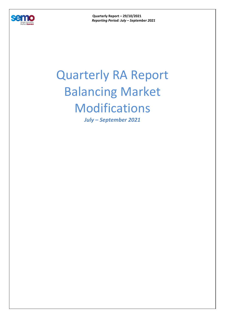

**Quarterly Report – 29/10/2021**  *Reporting Period: July – September 2021* 

## Quarterly RA Report Balancing Market Modifications

*July – September 2021*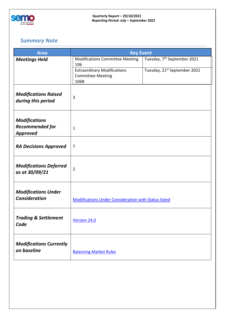

## *Summary Note*

| <b>Area</b>                                        | <b>Key Event</b>                                            |                                         |  |
|----------------------------------------------------|-------------------------------------------------------------|-----------------------------------------|--|
| <b>Meetings Held</b>                               | <b>Modifications Committee Meeting</b><br>106               | Tuesday, 7 <sup>th</sup> September 2021 |  |
|                                                    | <b>Extraordinary Modifications</b>                          | Tuesday, 21st September 2021            |  |
|                                                    | <b>Committee Meeting</b><br>106B                            |                                         |  |
|                                                    |                                                             |                                         |  |
| <b>Modifications Raised</b><br>during this period  | 3                                                           |                                         |  |
|                                                    |                                                             |                                         |  |
|                                                    |                                                             |                                         |  |
| <b>Modifications</b><br><b>Recommended for</b>     |                                                             |                                         |  |
| <b>Approved</b>                                    | $\mathbf{1}$                                                |                                         |  |
|                                                    |                                                             |                                         |  |
| <b>RA Decisions Approved</b>                       | $\overline{7}$                                              |                                         |  |
|                                                    |                                                             |                                         |  |
| <b>Modifications Deferred</b><br>as at 30/09/21    | $\overline{2}$                                              |                                         |  |
|                                                    |                                                             |                                         |  |
|                                                    |                                                             |                                         |  |
| <b>Modifications Under</b><br><b>Consideration</b> | <b>Modifications Under Consideration with Status listed</b> |                                         |  |
|                                                    |                                                             |                                         |  |
| <b>Trading &amp; Settlement</b>                    |                                                             |                                         |  |
| Code                                               | Version 24.0                                                |                                         |  |
|                                                    |                                                             |                                         |  |
| <b>Modifications Currently</b>                     |                                                             |                                         |  |
| on baseline                                        | <b>Balancing Market Rules</b>                               |                                         |  |
|                                                    |                                                             |                                         |  |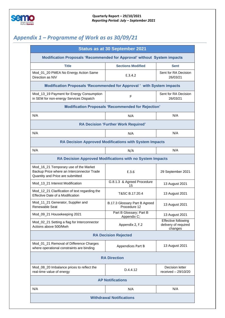

## *Appendix 1 – Programme of Work as as 30/09/21*

|                                                                                                                         | <b>Status as at 30 September 2021</b>                         |                                                        |
|-------------------------------------------------------------------------------------------------------------------------|---------------------------------------------------------------|--------------------------------------------------------|
| <b>Modification Proposals 'Recommended for Approval' without System impacts</b>                                         |                                                               |                                                        |
| <b>Title</b>                                                                                                            | <b>Sections Modified</b>                                      | <b>Sent</b>                                            |
| Mod_01_20 PMEA No Energy Action Same<br>Direction as NIV                                                                | E.3.4.2                                                       | Sent for RA Decision<br>26/03/21                       |
| Modification Proposals 'Recommended for Approval' with System impacts                                                   |                                                               |                                                        |
| Mod_13_19 Payment for Energy Consumption<br>in SEM for non-energy Services Dispatch                                     | F                                                             | Sent for RA Decision<br>26/03/21                       |
|                                                                                                                         | <b>Modification Proposals 'Recommended for Rejection'</b>     |                                                        |
| N/A                                                                                                                     | N/A                                                           | N/A                                                    |
|                                                                                                                         | <b>RA Decision 'Further Work Required'</b>                    |                                                        |
| N/A                                                                                                                     | N/A                                                           | N/A                                                    |
|                                                                                                                         | <b>RA Decision Approved Modifications with System Impacts</b> |                                                        |
| N/A                                                                                                                     | N/A                                                           | N/A                                                    |
|                                                                                                                         | RA Decision Approved Modifications with no System Impacts     |                                                        |
| Mod_16_21 Temporary use of the Market<br>Backup Price where an Interconnector Trade<br>Quantity and Price are submitted | E.3.6                                                         | 29 September 2021                                      |
| Mod_13_21 Interest Modification                                                                                         | G.8.1.3 & Agreed Procedure<br>15                              | 13 August 2021                                         |
| Mod_12_21 Clarification of text regarding the<br>Effective Date of a Modification                                       | T&SC B.17.20.4                                                | 13 August 2021                                         |
| Mod_11_21 Generator, Supplier and<br>Renewable Seat                                                                     | B.17.3 Glossary Part B Agreed<br>Procedure 12                 | 13 August 2021                                         |
| Mod_09_21 Housekeeping 2021                                                                                             | Part B Glossary; Part B<br>Appendix C;                        | 13 August 2021                                         |
| Mod_02_21 Setting a flag for Interconnector<br>Actions above 500/Mwh                                                    | Appendix 2, F.2                                               | Effective following<br>delivery of required<br>changes |
|                                                                                                                         | <b>RA Decision Rejected</b>                                   |                                                        |
| Mod_01_21 Removal of Difference Charges<br>where operational constraints are binding                                    | Appendices Part B                                             | 13 August 2021                                         |
|                                                                                                                         | <b>RA Direction</b>                                           |                                                        |
| Mod_08_20 Imbalance prices to reflect the<br>real-time value of energy                                                  | D.4.4.12                                                      | Decision letter<br>received $-29/10/20$                |
|                                                                                                                         | <b>AP Notifications</b>                                       |                                                        |
| N/A                                                                                                                     | N/A                                                           | N/A                                                    |
|                                                                                                                         | <b>Withdrawal Notifications</b>                               |                                                        |